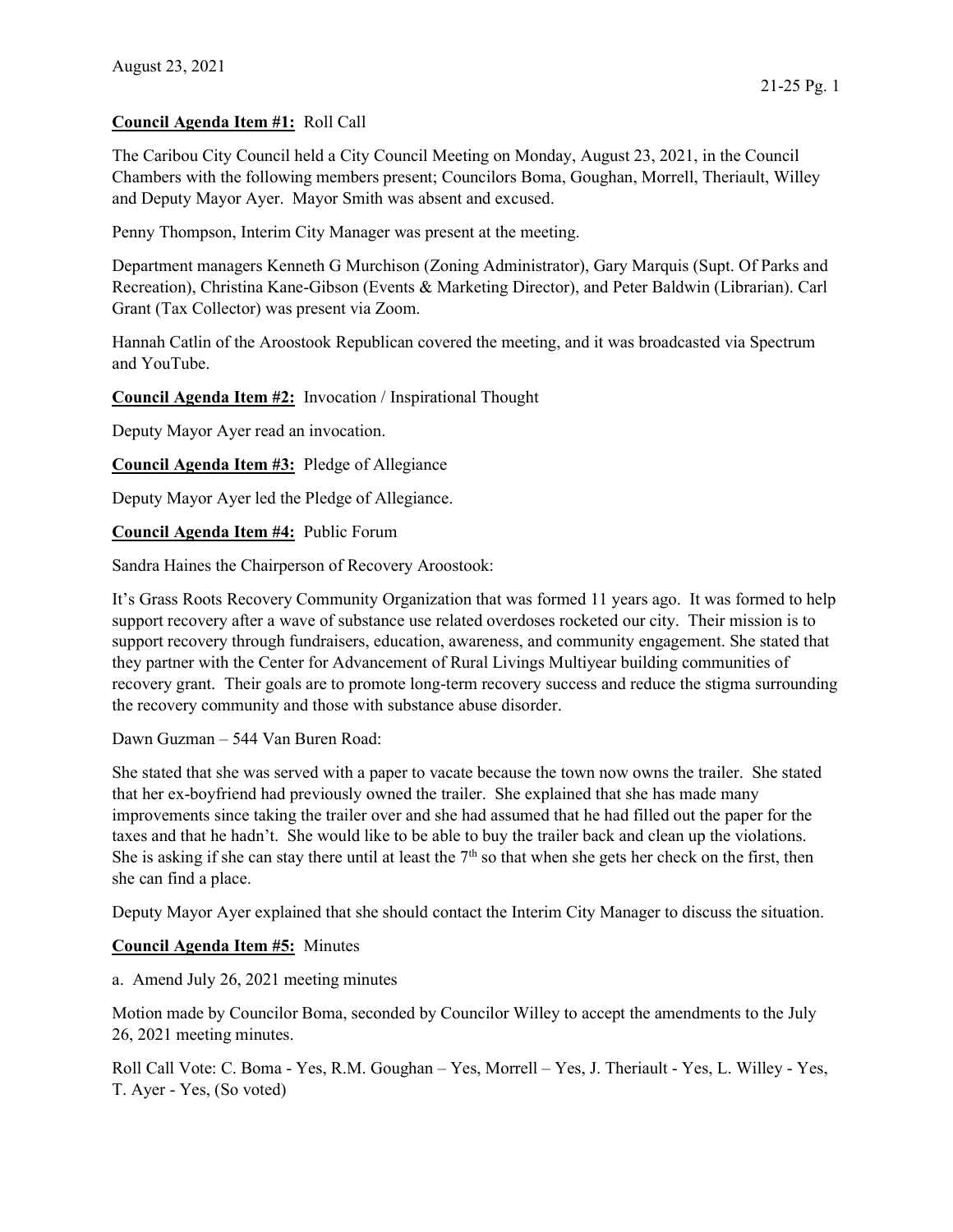# Council Agenda Item #1: Roll Call

The Caribou City Council held a City Council Meeting on Monday, August 23, 2021, in the Council Chambers with the following members present; Councilors Boma, Goughan, Morrell, Theriault, Willey and Deputy Mayor Ayer. Mayor Smith was absent and excused.

Penny Thompson, Interim City Manager was present at the meeting.

Department managers Kenneth G Murchison (Zoning Administrator), Gary Marquis (Supt. Of Parks and Recreation), Christina Kane-Gibson (Events & Marketing Director), and Peter Baldwin (Librarian). Carl Grant (Tax Collector) was present via Zoom.

Hannah Catlin of the Aroostook Republican covered the meeting, and it was broadcasted via Spectrum and YouTube.

Council Agenda Item #2: Invocation / Inspirational Thought

Deputy Mayor Ayer read an invocation.

Council Agenda Item #3: Pledge of Allegiance

Deputy Mayor Ayer led the Pledge of Allegiance.

Council Agenda Item #4: Public Forum

Sandra Haines the Chairperson of Recovery Aroostook:

It's Grass Roots Recovery Community Organization that was formed 11 years ago. It was formed to help support recovery after a wave of substance use related overdoses rocketed our city. Their mission is to support recovery through fundraisers, education, awareness, and community engagement. She stated that they partner with the Center for Advancement of Rural Livings Multiyear building communities of recovery grant. Their goals are to promote long-term recovery success and reduce the stigma surrounding the recovery community and those with substance abuse disorder.

Dawn Guzman – 544 Van Buren Road:

She stated that she was served with a paper to vacate because the town now owns the trailer. She stated that her ex-boyfriend had previously owned the trailer. She explained that she has made many improvements since taking the trailer over and she had assumed that he had filled out the paper for the taxes and that he hadn't. She would like to be able to buy the trailer back and clean up the violations. She is asking if she can stay there until at least the  $7<sup>th</sup>$  so that when she gets her check on the first, then she can find a place.

Deputy Mayor Ayer explained that she should contact the Interim City Manager to discuss the situation.

# Council Agenda Item #5: Minutes

a. Amend July 26, 2021 meeting minutes

Motion made by Councilor Boma, seconded by Councilor Willey to accept the amendments to the July 26, 2021 meeting minutes.

Roll Call Vote: C. Boma - Yes, R.M. Goughan – Yes, Morrell – Yes, J. Theriault - Yes, L. Willey - Yes, T. Ayer - Yes, (So voted)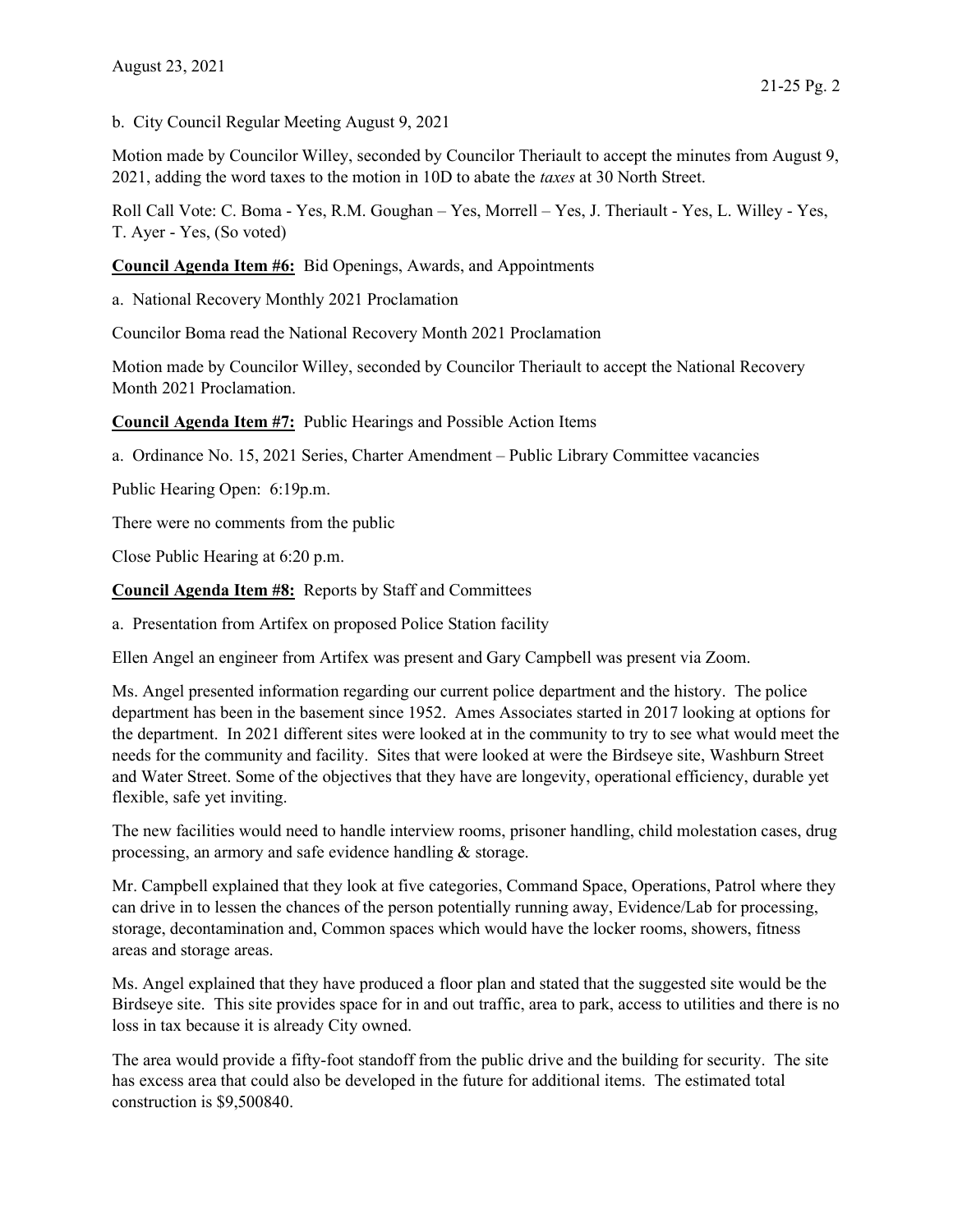b. City Council Regular Meeting August 9, 2021

Motion made by Councilor Willey, seconded by Councilor Theriault to accept the minutes from August 9, 2021, adding the word taxes to the motion in 10D to abate the taxes at 30 North Street.

Roll Call Vote: C. Boma - Yes, R.M. Goughan – Yes, Morrell – Yes, J. Theriault - Yes, L. Willey - Yes, T. Ayer - Yes, (So voted)

Council Agenda Item #6: Bid Openings, Awards, and Appointments

a. National Recovery Monthly 2021 Proclamation

Councilor Boma read the National Recovery Month 2021 Proclamation

Motion made by Councilor Willey, seconded by Councilor Theriault to accept the National Recovery Month 2021 Proclamation.

Council Agenda Item #7: Public Hearings and Possible Action Items

a. Ordinance No. 15, 2021 Series, Charter Amendment – Public Library Committee vacancies

Public Hearing Open: 6:19p.m.

There were no comments from the public

Close Public Hearing at 6:20 p.m.

Council Agenda Item #8: Reports by Staff and Committees

a. Presentation from Artifex on proposed Police Station facility

Ellen Angel an engineer from Artifex was present and Gary Campbell was present via Zoom.

Ms. Angel presented information regarding our current police department and the history. The police department has been in the basement since 1952. Ames Associates started in 2017 looking at options for the department. In 2021 different sites were looked at in the community to try to see what would meet the needs for the community and facility. Sites that were looked at were the Birdseye site, Washburn Street and Water Street. Some of the objectives that they have are longevity, operational efficiency, durable yet flexible, safe yet inviting.

The new facilities would need to handle interview rooms, prisoner handling, child molestation cases, drug processing, an armory and safe evidence handling & storage.

Mr. Campbell explained that they look at five categories, Command Space, Operations, Patrol where they can drive in to lessen the chances of the person potentially running away, Evidence/Lab for processing, storage, decontamination and, Common spaces which would have the locker rooms, showers, fitness areas and storage areas.

Ms. Angel explained that they have produced a floor plan and stated that the suggested site would be the Birdseye site. This site provides space for in and out traffic, area to park, access to utilities and there is no loss in tax because it is already City owned.

The area would provide a fifty-foot standoff from the public drive and the building for security. The site has excess area that could also be developed in the future for additional items. The estimated total construction is \$9,500840.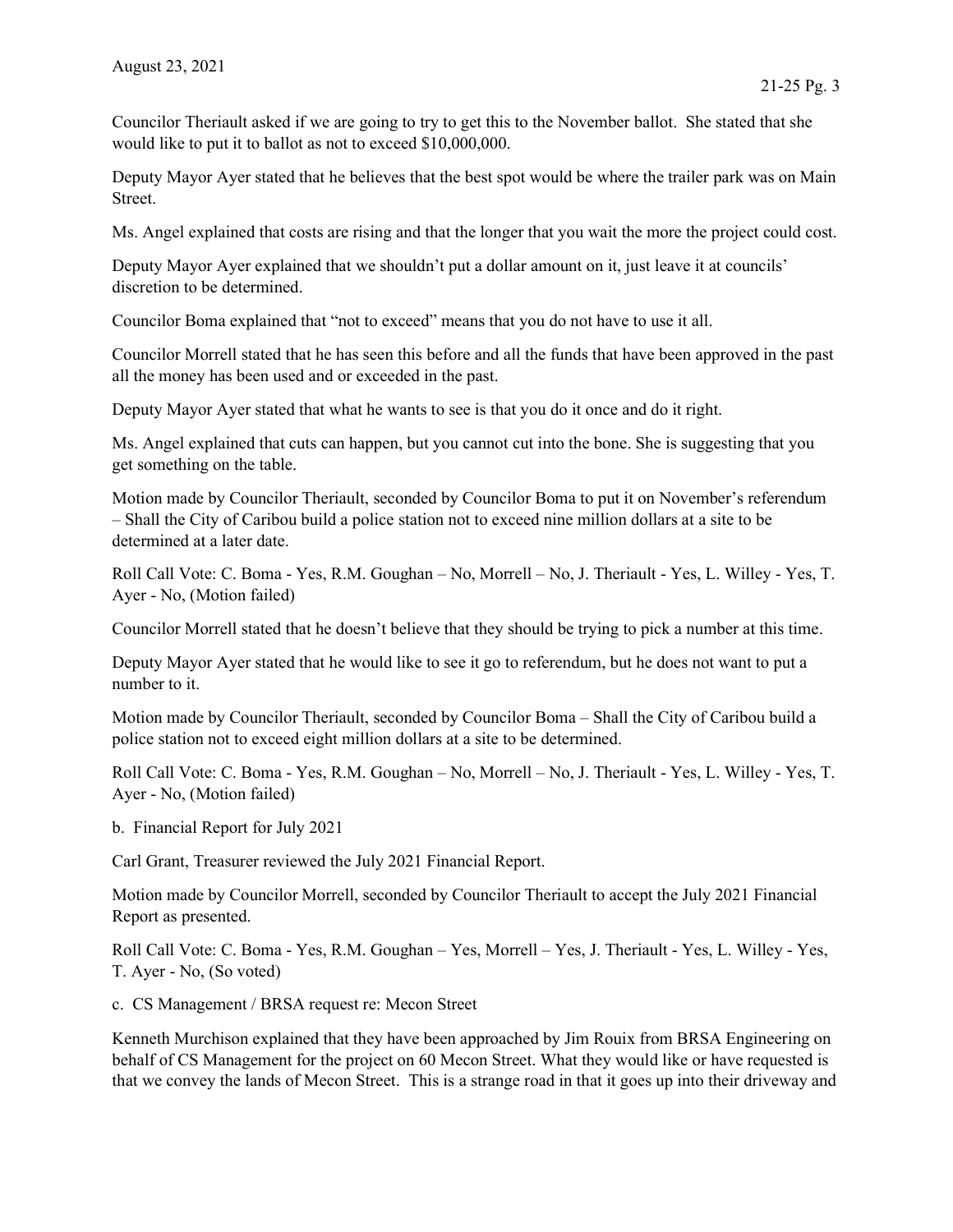Councilor Theriault asked if we are going to try to get this to the November ballot. She stated that she would like to put it to ballot as not to exceed \$10,000,000.

Deputy Mayor Ayer stated that he believes that the best spot would be where the trailer park was on Main Street.

Ms. Angel explained that costs are rising and that the longer that you wait the more the project could cost.

Deputy Mayor Ayer explained that we shouldn't put a dollar amount on it, just leave it at councils' discretion to be determined.

Councilor Boma explained that "not to exceed" means that you do not have to use it all.

Councilor Morrell stated that he has seen this before and all the funds that have been approved in the past all the money has been used and or exceeded in the past.

Deputy Mayor Ayer stated that what he wants to see is that you do it once and do it right.

Ms. Angel explained that cuts can happen, but you cannot cut into the bone. She is suggesting that you get something on the table.

Motion made by Councilor Theriault, seconded by Councilor Boma to put it on November's referendum – Shall the City of Caribou build a police station not to exceed nine million dollars at a site to be determined at a later date.

Roll Call Vote: C. Boma - Yes, R.M. Goughan – No, Morrell – No, J. Theriault - Yes, L. Willey - Yes, T. Ayer - No, (Motion failed)

Councilor Morrell stated that he doesn't believe that they should be trying to pick a number at this time.

Deputy Mayor Ayer stated that he would like to see it go to referendum, but he does not want to put a number to it.

Motion made by Councilor Theriault, seconded by Councilor Boma – Shall the City of Caribou build a police station not to exceed eight million dollars at a site to be determined.

Roll Call Vote: C. Boma - Yes, R.M. Goughan – No, Morrell – No, J. Theriault - Yes, L. Willey - Yes, T. Ayer - No, (Motion failed)

b. Financial Report for July 2021

Carl Grant, Treasurer reviewed the July 2021 Financial Report.

Motion made by Councilor Morrell, seconded by Councilor Theriault to accept the July 2021 Financial Report as presented.

Roll Call Vote: C. Boma - Yes, R.M. Goughan – Yes, Morrell – Yes, J. Theriault - Yes, L. Willey - Yes, T. Ayer - No, (So voted)

c. CS Management / BRSA request re: Mecon Street

Kenneth Murchison explained that they have been approached by Jim Rouix from BRSA Engineering on behalf of CS Management for the project on 60 Mecon Street. What they would like or have requested is that we convey the lands of Mecon Street. This is a strange road in that it goes up into their driveway and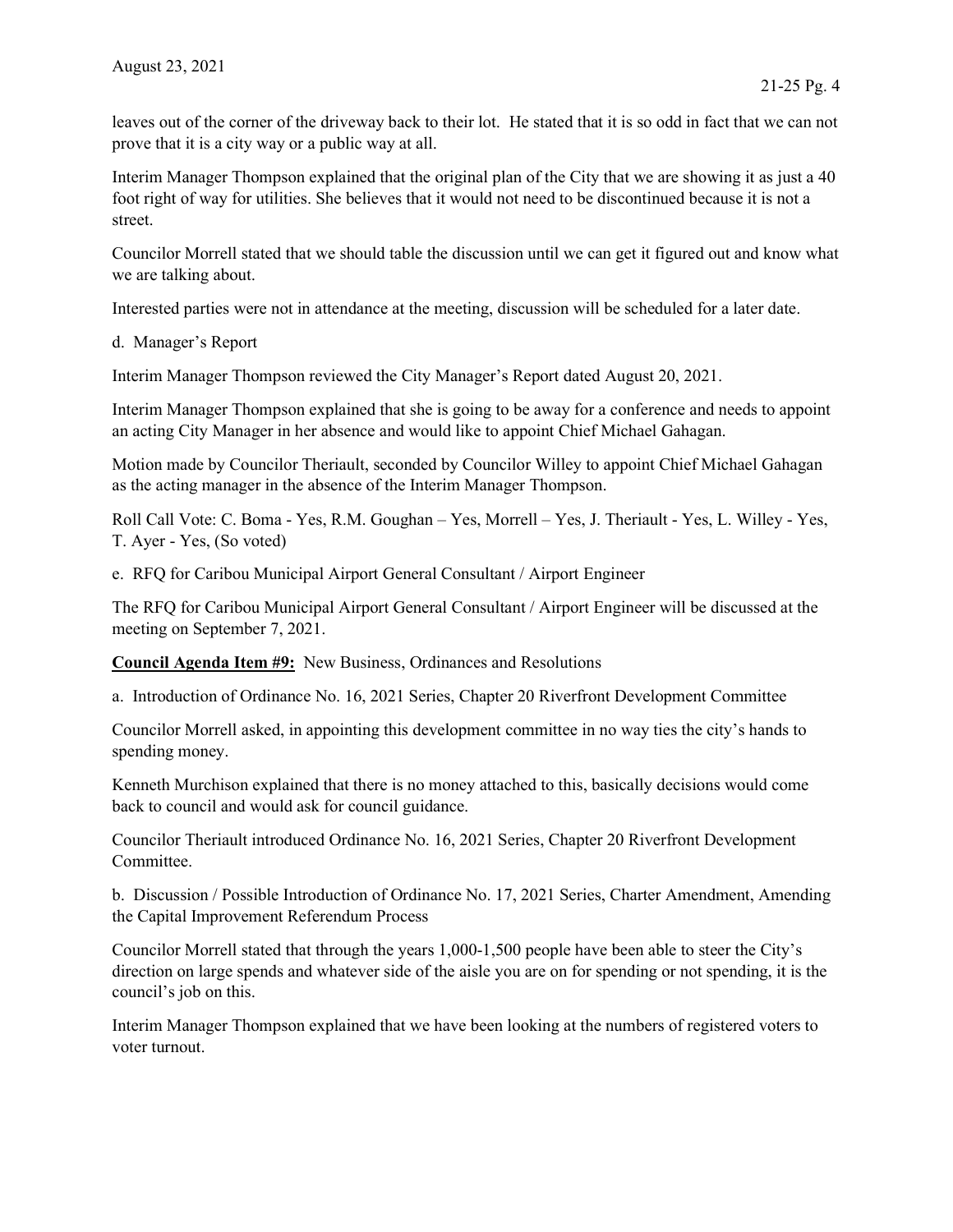leaves out of the corner of the driveway back to their lot. He stated that it is so odd in fact that we can not prove that it is a city way or a public way at all.

Interim Manager Thompson explained that the original plan of the City that we are showing it as just a 40 foot right of way for utilities. She believes that it would not need to be discontinued because it is not a street.

Councilor Morrell stated that we should table the discussion until we can get it figured out and know what we are talking about.

Interested parties were not in attendance at the meeting, discussion will be scheduled for a later date.

d. Manager's Report

Interim Manager Thompson reviewed the City Manager's Report dated August 20, 2021.

Interim Manager Thompson explained that she is going to be away for a conference and needs to appoint an acting City Manager in her absence and would like to appoint Chief Michael Gahagan.

Motion made by Councilor Theriault, seconded by Councilor Willey to appoint Chief Michael Gahagan as the acting manager in the absence of the Interim Manager Thompson.

Roll Call Vote: C. Boma - Yes, R.M. Goughan – Yes, Morrell – Yes, J. Theriault - Yes, L. Willey - Yes, T. Ayer - Yes, (So voted)

e. RFQ for Caribou Municipal Airport General Consultant / Airport Engineer

The RFQ for Caribou Municipal Airport General Consultant / Airport Engineer will be discussed at the meeting on September 7, 2021.

Council Agenda Item #9: New Business, Ordinances and Resolutions

a. Introduction of Ordinance No. 16, 2021 Series, Chapter 20 Riverfront Development Committee

Councilor Morrell asked, in appointing this development committee in no way ties the city's hands to spending money.

Kenneth Murchison explained that there is no money attached to this, basically decisions would come back to council and would ask for council guidance.

Councilor Theriault introduced Ordinance No. 16, 2021 Series, Chapter 20 Riverfront Development Committee.

b. Discussion / Possible Introduction of Ordinance No. 17, 2021 Series, Charter Amendment, Amending the Capital Improvement Referendum Process

Councilor Morrell stated that through the years 1,000-1,500 people have been able to steer the City's direction on large spends and whatever side of the aisle you are on for spending or not spending, it is the council's job on this.

Interim Manager Thompson explained that we have been looking at the numbers of registered voters to voter turnout.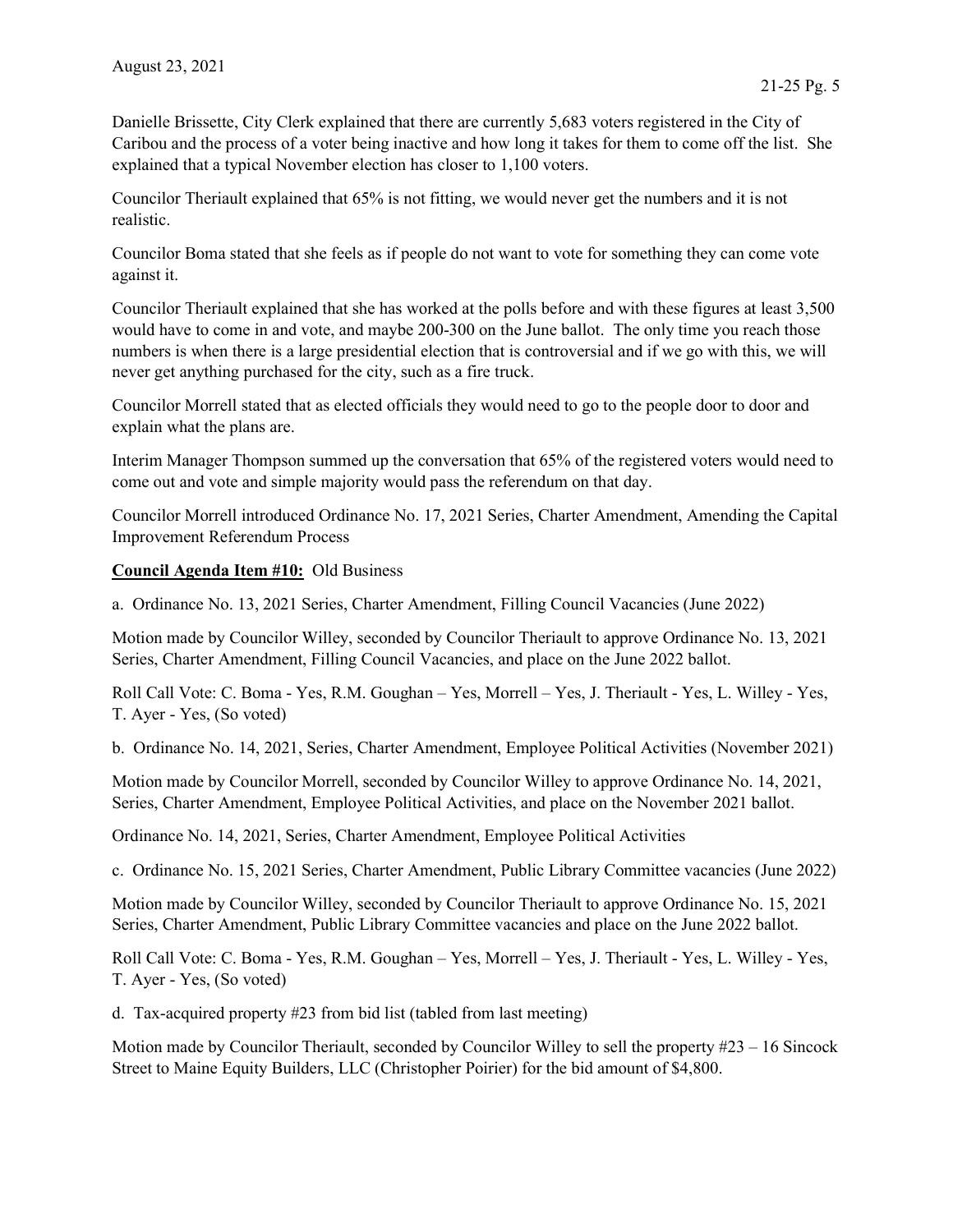Danielle Brissette, City Clerk explained that there are currently 5,683 voters registered in the City of Caribou and the process of a voter being inactive and how long it takes for them to come off the list. She explained that a typical November election has closer to 1,100 voters.

Councilor Theriault explained that 65% is not fitting, we would never get the numbers and it is not realistic.

Councilor Boma stated that she feels as if people do not want to vote for something they can come vote against it.

Councilor Theriault explained that she has worked at the polls before and with these figures at least 3,500 would have to come in and vote, and maybe 200-300 on the June ballot. The only time you reach those numbers is when there is a large presidential election that is controversial and if we go with this, we will never get anything purchased for the city, such as a fire truck.

Councilor Morrell stated that as elected officials they would need to go to the people door to door and explain what the plans are.

Interim Manager Thompson summed up the conversation that 65% of the registered voters would need to come out and vote and simple majority would pass the referendum on that day.

Councilor Morrell introduced Ordinance No. 17, 2021 Series, Charter Amendment, Amending the Capital Improvement Referendum Process

## Council Agenda Item #10: Old Business

a. Ordinance No. 13, 2021 Series, Charter Amendment, Filling Council Vacancies (June 2022)

Motion made by Councilor Willey, seconded by Councilor Theriault to approve Ordinance No. 13, 2021 Series, Charter Amendment, Filling Council Vacancies, and place on the June 2022 ballot.

Roll Call Vote: C. Boma - Yes, R.M. Goughan – Yes, Morrell – Yes, J. Theriault - Yes, L. Willey - Yes, T. Ayer - Yes, (So voted)

b. Ordinance No. 14, 2021, Series, Charter Amendment, Employee Political Activities (November 2021)

Motion made by Councilor Morrell, seconded by Councilor Willey to approve Ordinance No. 14, 2021, Series, Charter Amendment, Employee Political Activities, and place on the November 2021 ballot.

Ordinance No. 14, 2021, Series, Charter Amendment, Employee Political Activities

c. Ordinance No. 15, 2021 Series, Charter Amendment, Public Library Committee vacancies (June 2022)

Motion made by Councilor Willey, seconded by Councilor Theriault to approve Ordinance No. 15, 2021 Series, Charter Amendment, Public Library Committee vacancies and place on the June 2022 ballot.

Roll Call Vote: C. Boma - Yes, R.M. Goughan – Yes, Morrell – Yes, J. Theriault - Yes, L. Willey - Yes, T. Ayer - Yes, (So voted)

d. Tax-acquired property #23 from bid list (tabled from last meeting)

Motion made by Councilor Theriault, seconded by Councilor Willey to sell the property #23 – 16 Sincock Street to Maine Equity Builders, LLC (Christopher Poirier) for the bid amount of \$4,800.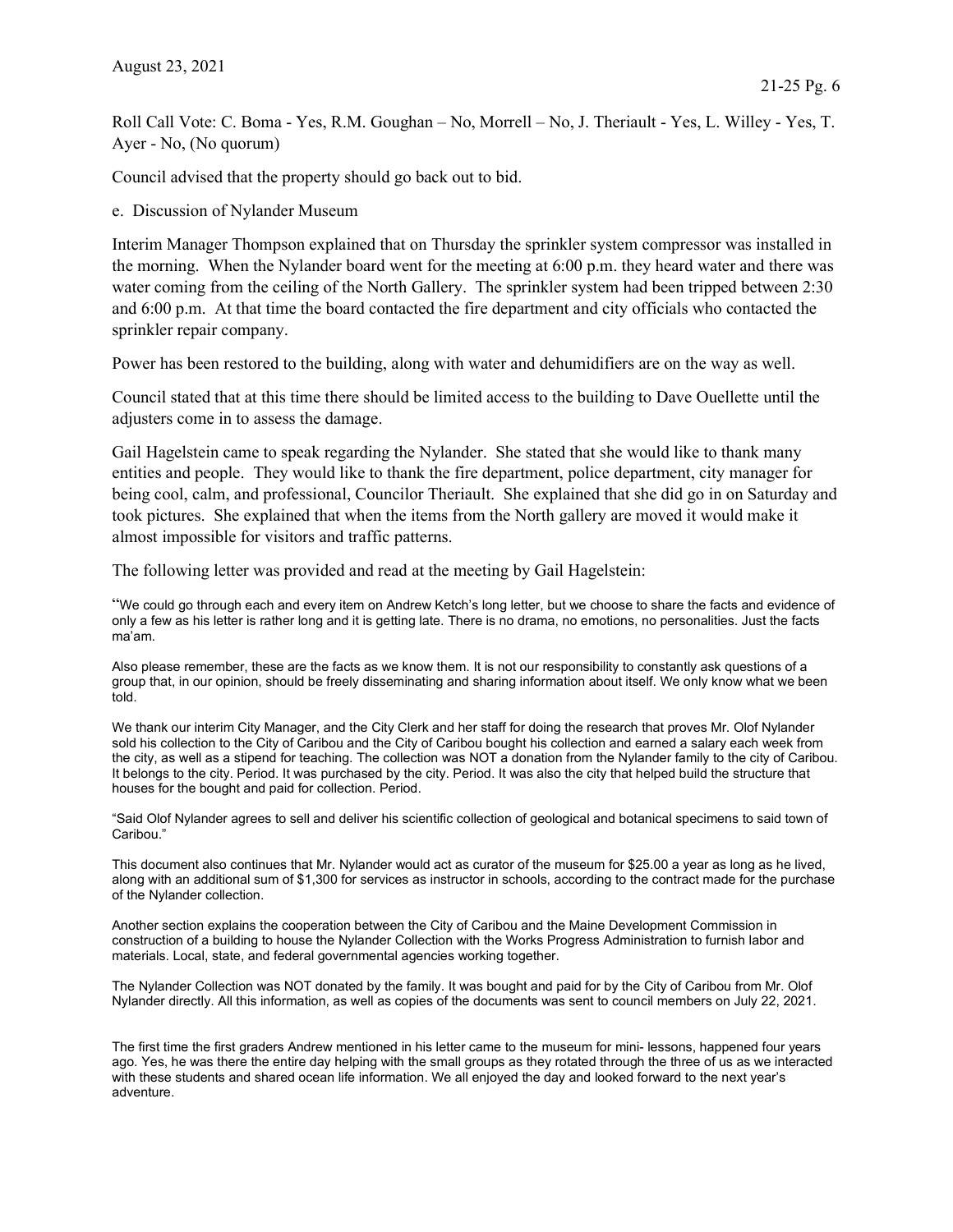Roll Call Vote: C. Boma - Yes, R.M. Goughan – No, Morrell – No, J. Theriault - Yes, L. Willey - Yes, T. Ayer - No, (No quorum)

Council advised that the property should go back out to bid.

e. Discussion of Nylander Museum

Interim Manager Thompson explained that on Thursday the sprinkler system compressor was installed in the morning. When the Nylander board went for the meeting at 6:00 p.m. they heard water and there was water coming from the ceiling of the North Gallery. The sprinkler system had been tripped between 2:30 and 6:00 p.m. At that time the board contacted the fire department and city officials who contacted the sprinkler repair company.

Power has been restored to the building, along with water and dehumidifiers are on the way as well.

Council stated that at this time there should be limited access to the building to Dave Ouellette until the adjusters come in to assess the damage.

Gail Hagelstein came to speak regarding the Nylander. She stated that she would like to thank many entities and people. They would like to thank the fire department, police department, city manager for being cool, calm, and professional, Councilor Theriault. She explained that she did go in on Saturday and took pictures. She explained that when the items from the North gallery are moved it would make it almost impossible for visitors and traffic patterns.

The following letter was provided and read at the meeting by Gail Hagelstein:

"We could go through each and every item on Andrew Ketch's long letter, but we choose to share the facts and evidence of only a few as his letter is rather long and it is getting late. There is no drama, no emotions, no personalities. Just the facts ma'am.

Also please remember, these are the facts as we know them. It is not our responsibility to constantly ask questions of a group that, in our opinion, should be freely disseminating and sharing information about itself. We only know what we been told.

We thank our interim City Manager, and the City Clerk and her staff for doing the research that proves Mr. Olof Nylander sold his collection to the City of Caribou and the City of Caribou bought his collection and earned a salary each week from the city, as well as a stipend for teaching. The collection was NOT a donation from the Nylander family to the city of Caribou. It belongs to the city. Period. It was purchased by the city. Period. It was also the city that helped build the structure that houses for the bought and paid for collection. Period.

"Said Olof Nylander agrees to sell and deliver his scientific collection of geological and botanical specimens to said town of Caribou."

This document also continues that Mr. Nylander would act as curator of the museum for \$25.00 a year as long as he lived, along with an additional sum of \$1,300 for services as instructor in schools, according to the contract made for the purchase of the Nylander collection.

Another section explains the cooperation between the City of Caribou and the Maine Development Commission in construction of a building to house the Nylander Collection with the Works Progress Administration to furnish labor and materials. Local, state, and federal governmental agencies working together.

The Nylander Collection was NOT donated by the family. It was bought and paid for by the City of Caribou from Mr. Olof Nylander directly. All this information, as well as copies of the documents was sent to council members on July 22, 2021.

The first time the first graders Andrew mentioned in his letter came to the museum for mini- lessons, happened four years ago. Yes, he was there the entire day helping with the small groups as they rotated through the three of us as we interacted with these students and shared ocean life information. We all enjoyed the day and looked forward to the next year's adventure.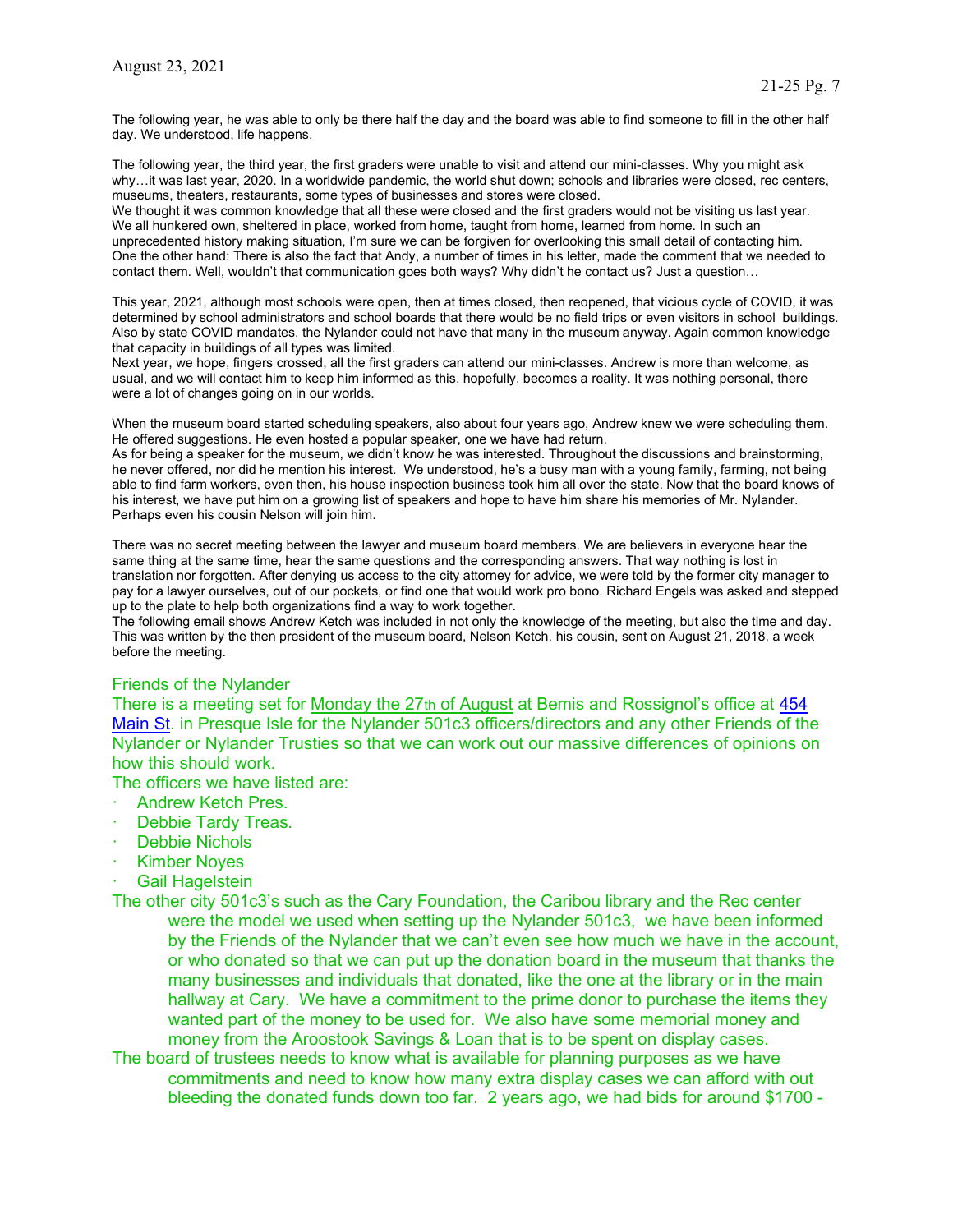The following year, he was able to only be there half the day and the board was able to find someone to fill in the other half day. We understood, life happens.

The following year, the third year, the first graders were unable to visit and attend our mini-classes. Why you might ask why…it was last year, 2020. In a worldwide pandemic, the world shut down; schools and libraries were closed, rec centers, museums, theaters, restaurants, some types of businesses and stores were closed.

We thought it was common knowledge that all these were closed and the first graders would not be visiting us last year. We all hunkered own, sheltered in place, worked from home, taught from home, learned from home. In such an unprecedented history making situation, I'm sure we can be forgiven for overlooking this small detail of contacting him. One the other hand: There is also the fact that Andy, a number of times in his letter, made the comment that we needed to contact them. Well, wouldn't that communication goes both ways? Why didn't he contact us? Just a question…

This year, 2021, although most schools were open, then at times closed, then reopened, that vicious cycle of COVID, it was determined by school administrators and school boards that there would be no field trips or even visitors in school buildings. Also by state COVID mandates, the Nylander could not have that many in the museum anyway. Again common knowledge that capacity in buildings of all types was limited.

Next year, we hope, fingers crossed, all the first graders can attend our mini-classes. Andrew is more than welcome, as usual, and we will contact him to keep him informed as this, hopefully, becomes a reality. It was nothing personal, there were a lot of changes going on in our worlds.

When the museum board started scheduling speakers, also about four years ago, Andrew knew we were scheduling them. He offered suggestions. He even hosted a popular speaker, one we have had return.

As for being a speaker for the museum, we didn't know he was interested. Throughout the discussions and brainstorming, he never offered, nor did he mention his interest. We understood, he's a busy man with a young family, farming, not being able to find farm workers, even then, his house inspection business took him all over the state. Now that the board knows of his interest, we have put him on a growing list of speakers and hope to have him share his memories of Mr. Nylander. Perhaps even his cousin Nelson will join him.

There was no secret meeting between the lawyer and museum board members. We are believers in everyone hear the same thing at the same time, hear the same questions and the corresponding answers. That way nothing is lost in translation nor forgotten. After denying us access to the city attorney for advice, we were told by the former city manager to pay for a lawyer ourselves, out of our pockets, or find one that would work pro bono. Richard Engels was asked and stepped up to the plate to help both organizations find a way to work together.

The following email shows Andrew Ketch was included in not only the knowledge of the meeting, but also the time and day. This was written by the then president of the museum board, Nelson Ketch, his cousin, sent on August 21, 2018, a week before the meeting.

## Friends of the Nylander

There is a meeting set for Monday the 27th of August at Bemis and Rossignol's office at 454 Main St. in Presque Isle for the Nylander 501c3 officers/directors and any other Friends of the Nylander or Nylander Trusties so that we can work out our massive differences of opinions on how this should work.

The officers we have listed are:

- Andrew Ketch Pres.
- · Debbie Tardy Treas.
- **Debbie Nichols**
- · Kimber Noyes
- **Gail Hagelstein**

The other city 501c3's such as the Cary Foundation, the Caribou library and the Rec center

were the model we used when setting up the Nylander 501c3, we have been informed by the Friends of the Nylander that we can't even see how much we have in the account, or who donated so that we can put up the donation board in the museum that thanks the many businesses and individuals that donated, like the one at the library or in the main hallway at Cary. We have a commitment to the prime donor to purchase the items they wanted part of the money to be used for. We also have some memorial money and money from the Aroostook Savings & Loan that is to be spent on display cases.

The board of trustees needs to know what is available for planning purposes as we have commitments and need to know how many extra display cases we can afford with out bleeding the donated funds down too far. 2 years ago, we had bids for around \$1700 -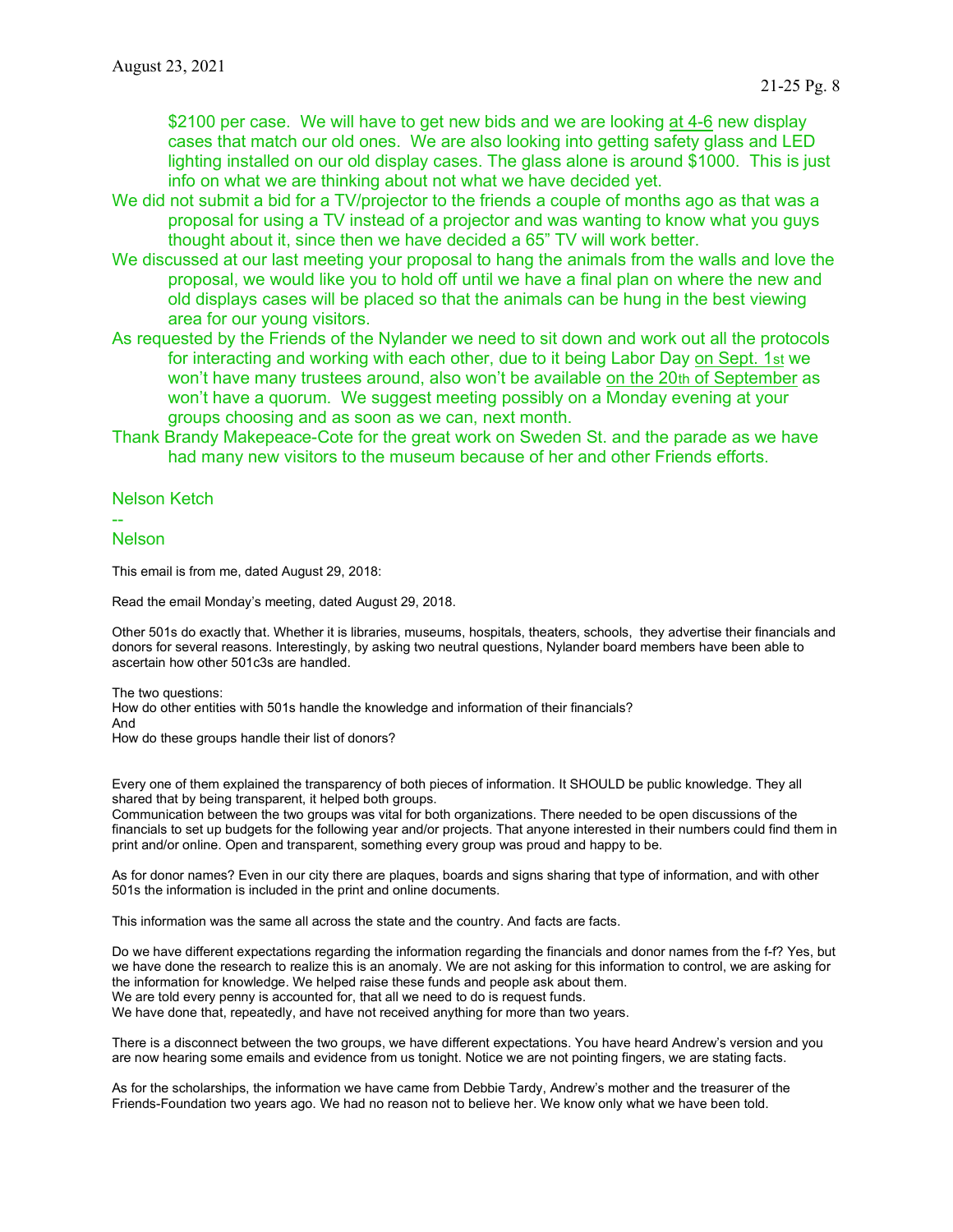\$2100 per case. We will have to get new bids and we are looking at 4-6 new display cases that match our old ones. We are also looking into getting safety glass and LED lighting installed on our old display cases. The glass alone is around \$1000. This is just info on what we are thinking about not what we have decided yet.

- We did not submit a bid for a TV/projector to the friends a couple of months ago as that was a proposal for using a TV instead of a projector and was wanting to know what you guys thought about it, since then we have decided a 65" TV will work better.
- We discussed at our last meeting your proposal to hang the animals from the walls and love the proposal, we would like you to hold off until we have a final plan on where the new and old displays cases will be placed so that the animals can be hung in the best viewing area for our young visitors.
- As requested by the Friends of the Nylander we need to sit down and work out all the protocols for interacting and working with each other, due to it being Labor Day on Sept. 1st we won't have many trustees around, also won't be available on the 20th of September as won't have a quorum. We suggest meeting possibly on a Monday evening at your groups choosing and as soon as we can, next month.
- Thank Brandy Makepeace-Cote for the great work on Sweden St. and the parade as we have had many new visitors to the museum because of her and other Friends efforts.

#### Nelson Ketch

--

Nelson

This email is from me, dated August 29, 2018:

Read the email Monday's meeting, dated August 29, 2018.

Other 501s do exactly that. Whether it is libraries, museums, hospitals, theaters, schools, they advertise their financials and donors for several reasons. Interestingly, by asking two neutral questions, Nylander board members have been able to ascertain how other 501c3s are handled.

The two questions: How do other entities with 501s handle the knowledge and information of their financials? And How do these groups handle their list of donors?

Every one of them explained the transparency of both pieces of information. It SHOULD be public knowledge. They all shared that by being transparent, it helped both groups.

Communication between the two groups was vital for both organizations. There needed to be open discussions of the financials to set up budgets for the following year and/or projects. That anyone interested in their numbers could find them in print and/or online. Open and transparent, something every group was proud and happy to be.

As for donor names? Even in our city there are plaques, boards and signs sharing that type of information, and with other 501s the information is included in the print and online documents.

This information was the same all across the state and the country. And facts are facts.

Do we have different expectations regarding the information regarding the financials and donor names from the f-f? Yes, but we have done the research to realize this is an anomaly. We are not asking for this information to control, we are asking for the information for knowledge. We helped raise these funds and people ask about them. We are told every penny is accounted for, that all we need to do is request funds. We have done that, repeatedly, and have not received anything for more than two years.

There is a disconnect between the two groups, we have different expectations. You have heard Andrew's version and you are now hearing some emails and evidence from us tonight. Notice we are not pointing fingers, we are stating facts.

As for the scholarships, the information we have came from Debbie Tardy, Andrew's mother and the treasurer of the Friends-Foundation two years ago. We had no reason not to believe her. We know only what we have been told.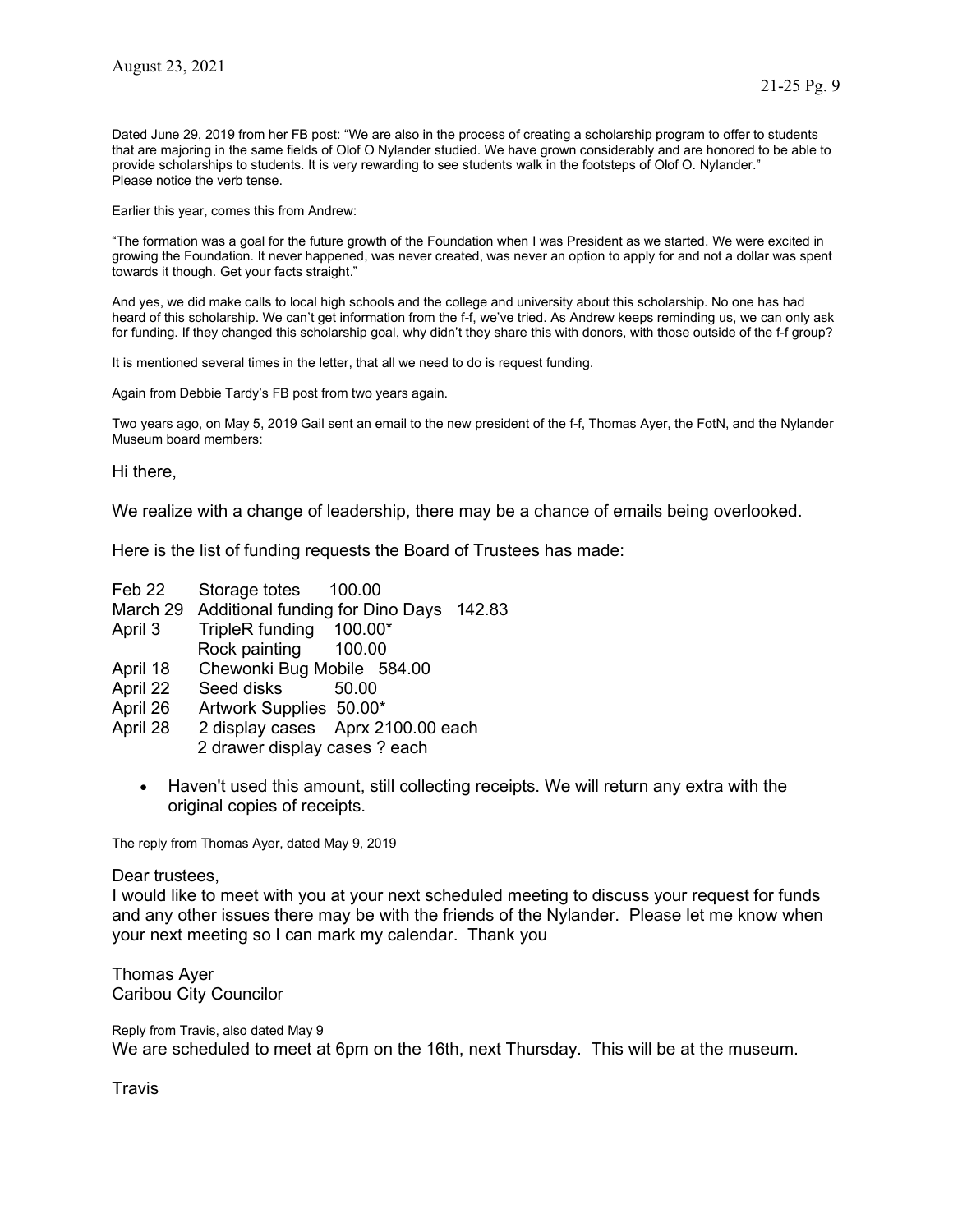Dated June 29, 2019 from her FB post: "We are also in the process of creating a scholarship program to offer to students that are majoring in the same fields of Olof O Nylander studied. We have grown considerably and are honored to be able to provide scholarships to students. It is very rewarding to see students walk in the footsteps of Olof O. Nylander." Please notice the verb tense.

Earlier this year, comes this from Andrew:

"The formation was a goal for the future growth of the Foundation when I was President as we started. We were excited in growing the Foundation. It never happened, was never created, was never an option to apply for and not a dollar was spent towards it though. Get your facts straight."

And yes, we did make calls to local high schools and the college and university about this scholarship. No one has had heard of this scholarship. We can't get information from the f-f, we've tried. As Andrew keeps reminding us, we can only ask for funding. If they changed this scholarship goal, why didn't they share this with donors, with those outside of the f-f group?

It is mentioned several times in the letter, that all we need to do is request funding.

Again from Debbie Tardy's FB post from two years again.

Two years ago, on May 5, 2019 Gail sent an email to the new president of the f-f, Thomas Ayer, the FotN, and the Nylander Museum board members:

Hi there,

We realize with a change of leadership, there may be a chance of emails being overlooked.

Here is the list of funding requests the Board of Trustees has made:

- Feb 22 Storage totes 100.00
- March 29 Additional funding for Dino Days 142.83
- April 3 TripleR funding 100.00\*
- Rock painting 100.00
- April 18 Chewonki Bug Mobile 584.00
- April 22 Seed disks 50.00
- April 26 Artwork Supplies 50.00\*
- April 28 2 display cases Aprx 2100.00 each
	- 2 drawer display cases ? each
	- Haven't used this amount, still collecting receipts. We will return any extra with the original copies of receipts.

The reply from Thomas Ayer, dated May 9, 2019

Dear trustees,

I would like to meet with you at your next scheduled meeting to discuss your request for funds and any other issues there may be with the friends of the Nylander. Please let me know when your next meeting so I can mark my calendar. Thank you

Thomas Ayer Caribou City Councilor

Reply from Travis, also dated May 9 We are scheduled to meet at 6pm on the 16th, next Thursday. This will be at the museum.

**Travis**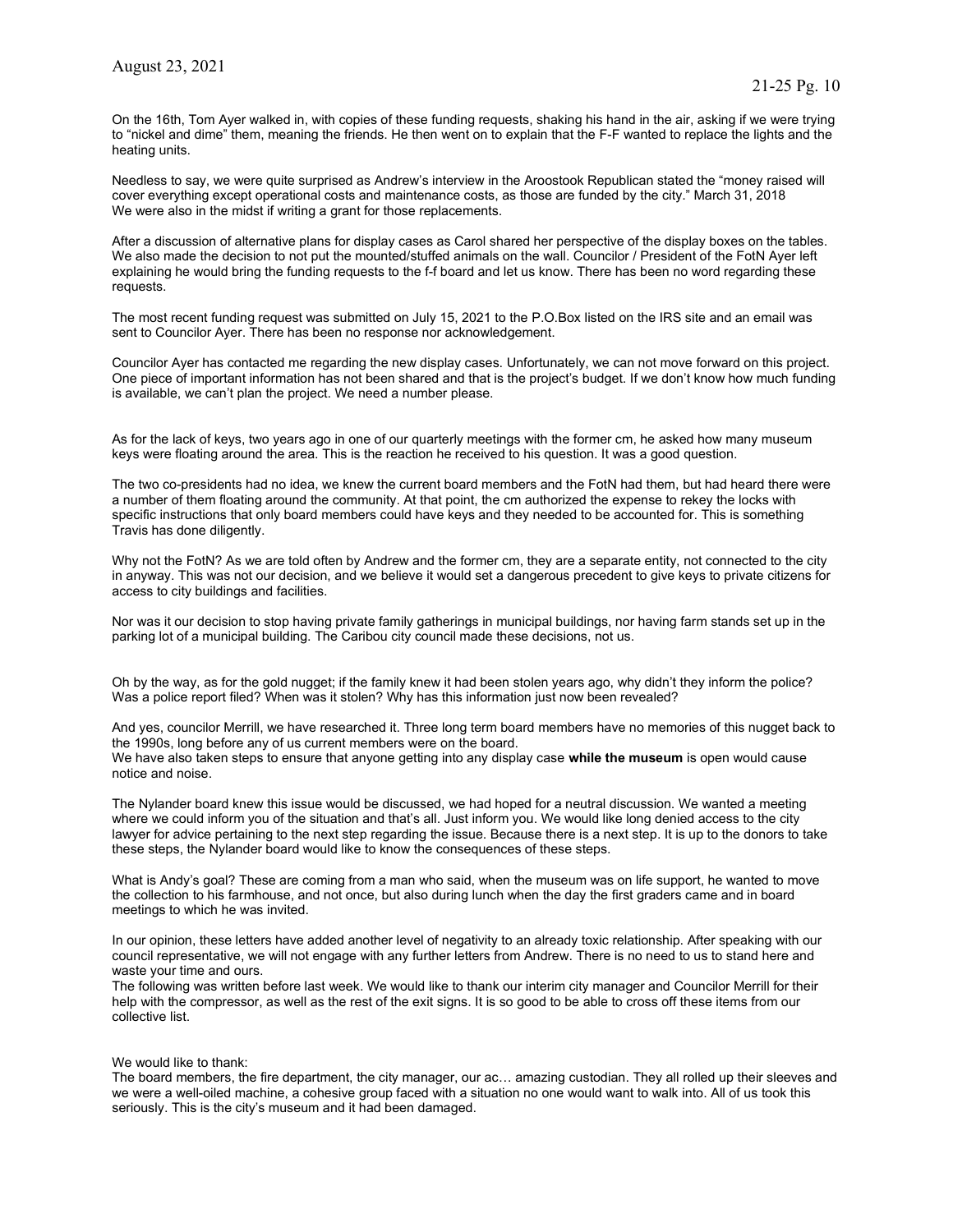On the 16th, Tom Ayer walked in, with copies of these funding requests, shaking his hand in the air, asking if we were trying to "nickel and dime" them, meaning the friends. He then went on to explain that the F-F wanted to replace the lights and the heating units.

Needless to say, we were quite surprised as Andrew's interview in the Aroostook Republican stated the "money raised will cover everything except operational costs and maintenance costs, as those are funded by the city." March 31, 2018 We were also in the midst if writing a grant for those replacements.

After a discussion of alternative plans for display cases as Carol shared her perspective of the display boxes on the tables. We also made the decision to not put the mounted/stuffed animals on the wall. Councilor / President of the FotN Ayer left explaining he would bring the funding requests to the f-f board and let us know. There has been no word regarding these requests.

The most recent funding request was submitted on July 15, 2021 to the P.O.Box listed on the IRS site and an email was sent to Councilor Ayer. There has been no response nor acknowledgement.

Councilor Ayer has contacted me regarding the new display cases. Unfortunately, we can not move forward on this project. One piece of important information has not been shared and that is the project's budget. If we don't know how much funding is available, we can't plan the project. We need a number please.

As for the lack of keys, two years ago in one of our quarterly meetings with the former cm, he asked how many museum keys were floating around the area. This is the reaction he received to his question. It was a good question.

The two co-presidents had no idea, we knew the current board members and the FotN had them, but had heard there were a number of them floating around the community. At that point, the cm authorized the expense to rekey the locks with specific instructions that only board members could have keys and they needed to be accounted for. This is something Travis has done diligently.

Why not the FotN? As we are told often by Andrew and the former cm, they are a separate entity, not connected to the city in anyway. This was not our decision, and we believe it would set a dangerous precedent to give keys to private citizens for access to city buildings and facilities.

Nor was it our decision to stop having private family gatherings in municipal buildings, nor having farm stands set up in the parking lot of a municipal building. The Caribou city council made these decisions, not us.

Oh by the way, as for the gold nugget; if the family knew it had been stolen years ago, why didn't they inform the police? Was a police report filed? When was it stolen? Why has this information just now been revealed?

And yes, councilor Merrill, we have researched it. Three long term board members have no memories of this nugget back to the 1990s, long before any of us current members were on the board. We have also taken steps to ensure that anyone getting into any display case while the museum is open would cause notice and noise.

The Nylander board knew this issue would be discussed, we had hoped for a neutral discussion. We wanted a meeting where we could inform you of the situation and that's all. Just inform you. We would like long denied access to the city lawyer for advice pertaining to the next step regarding the issue. Because there is a next step. It is up to the donors to take these steps, the Nylander board would like to know the consequences of these steps.

What is Andy's goal? These are coming from a man who said, when the museum was on life support, he wanted to move the collection to his farmhouse, and not once, but also during lunch when the day the first graders came and in board meetings to which he was invited.

In our opinion, these letters have added another level of negativity to an already toxic relationship. After speaking with our council representative, we will not engage with any further letters from Andrew. There is no need to us to stand here and waste your time and ours.

The following was written before last week. We would like to thank our interim city manager and Councilor Merrill for their help with the compressor, as well as the rest of the exit signs. It is so good to be able to cross off these items from our collective list.

#### We would like to thank:

The board members, the fire department, the city manager, our ac… amazing custodian. They all rolled up their sleeves and we were a well-oiled machine, a cohesive group faced with a situation no one would want to walk into. All of us took this seriously. This is the city's museum and it had been damaged.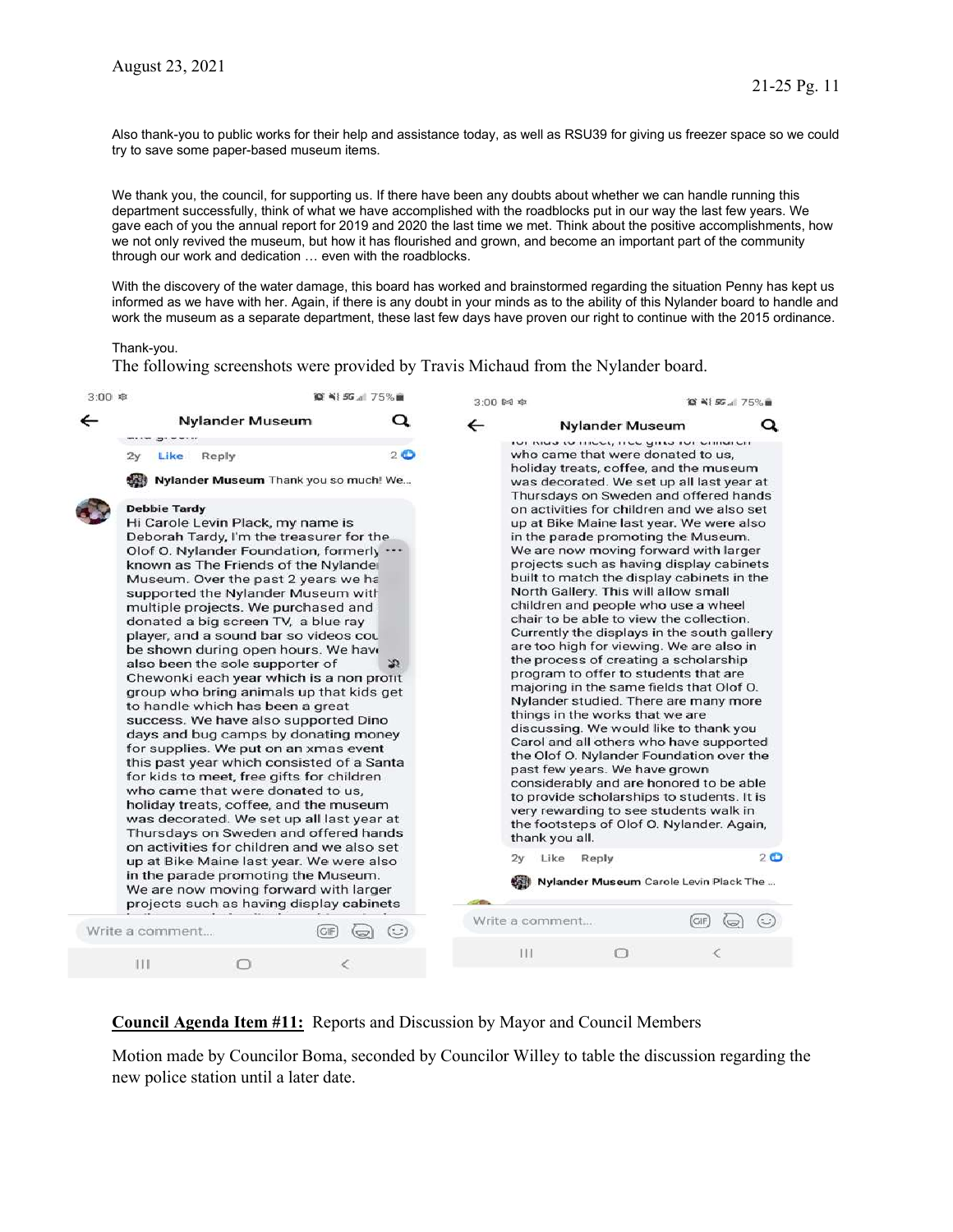Also thank-you to public works for their help and assistance today, as well as RSU39 for giving us freezer space so we could try to save some paper-based museum items.

We thank you, the council, for supporting us. If there have been any doubts about whether we can handle running this department successfully, think of what we have accomplished with the roadblocks put in our way the last few years. We gave each of you the annual report for 2019 and 2020 the last time we met. Think about the positive accomplishments, how we not only revived the museum, but how it has flourished and grown, and become an important part of the community through our work and dedication … even with the roadblocks.

With the discovery of the water damage, this board has worked and brainstormed regarding the situation Penny has kept us informed as we have with her. Again, if there is any doubt in your minds as to the ability of this Nylander board to handle and work the museum as a separate department, these last few days have proven our right to continue with the 2015 ordinance.

#### Thank-you.

The following screenshots were provided by Travis Michaud from the Nylander board.

| <b>Nylander Museum</b>                                                                                                                                                                                                                                                                                                                                                                                                                                                                                                                                                                                                                                                                                                                                                                                                                                                                                                                                                                                                                                                                                                                                                                                                                                                  |                                                                                                                                                                                                                                                                                                                                                                                                                                                                                                                                                                                                                                                                                                                                                                                                                                                                                                                                                                                                                                                                                                                                                                                                                                                                                                                                                          | <b>◎ 当5G</b> 4 75%■ |
|-------------------------------------------------------------------------------------------------------------------------------------------------------------------------------------------------------------------------------------------------------------------------------------------------------------------------------------------------------------------------------------------------------------------------------------------------------------------------------------------------------------------------------------------------------------------------------------------------------------------------------------------------------------------------------------------------------------------------------------------------------------------------------------------------------------------------------------------------------------------------------------------------------------------------------------------------------------------------------------------------------------------------------------------------------------------------------------------------------------------------------------------------------------------------------------------------------------------------------------------------------------------------|----------------------------------------------------------------------------------------------------------------------------------------------------------------------------------------------------------------------------------------------------------------------------------------------------------------------------------------------------------------------------------------------------------------------------------------------------------------------------------------------------------------------------------------------------------------------------------------------------------------------------------------------------------------------------------------------------------------------------------------------------------------------------------------------------------------------------------------------------------------------------------------------------------------------------------------------------------------------------------------------------------------------------------------------------------------------------------------------------------------------------------------------------------------------------------------------------------------------------------------------------------------------------------------------------------------------------------------------------------|---------------------|
|                                                                                                                                                                                                                                                                                                                                                                                                                                                                                                                                                                                                                                                                                                                                                                                                                                                                                                                                                                                                                                                                                                                                                                                                                                                                         | $\leftarrow$<br><b>Nylander Museum</b>                                                                                                                                                                                                                                                                                                                                                                                                                                                                                                                                                                                                                                                                                                                                                                                                                                                                                                                                                                                                                                                                                                                                                                                                                                                                                                                   |                     |
| $\overline{\omega}$ . $-$<br>20<br>Like Reply<br>2y<br>Nylander Museum Thank you so much! We<br><b>Debbie Tardy</b><br>Hi Carole Levin Plack, my name is<br>Deborah Tardy, I'm the treasurer for the<br>Olof O. Nylander Foundation, formerly<br>known as The Friends of the Nylandei<br>Museum. Over the past 2 years we ha<br>supported the Nylander Museum with<br>multiple projects. We purchased and<br>donated a big screen TV, a blue ray<br>player, and a sound bar so videos cou<br>be shown during open hours. We have<br>also been the sole supporter of<br>29<br>Chewonki each year which is a non protit<br>group who bring animals up that kids get<br>to handle which has been a great<br>success. We have also supported Dino<br>days and bug camps by donating money<br>for supplies. We put on an xmas event<br>this past year which consisted of a Santa<br>for kids to meet, free gifts for children<br>who came that were donated to us.<br>holiday treats, coffee, and the museum<br>was decorated. We set up all last year at<br>Thursdays on Sweden and offered hands<br>on activities for children and we also set<br>up at Bike Maine last year. We were also<br>in the parade promoting the Museum.<br>We are now moving forward with larger | וטו ומעס נט וווככל, ווככ עותם וטו טווועוכה<br>who came that were donated to us.<br>holiday treats, coffee, and the museum<br>was decorated. We set up all last year at<br>Thursdays on Sweden and offered hands<br>on activities for children and we also set<br>up at Bike Maine last year. We were also<br>in the parade promoting the Museum.<br>We are now moving forward with larger<br>projects such as having display cabinets<br>built to match the display cabinets in the<br>North Gallery. This will allow small<br>children and people who use a wheel<br>chair to be able to view the collection.<br>Currently the displays in the south gallery<br>are too high for viewing. We are also in<br>the process of creating a scholarship<br>program to offer to students that are<br>majoring in the same fields that Olof O.<br>Nylander studied. There are many more<br>things in the works that we are<br>discussing. We would like to thank you<br>Carol and all others who have supported<br>the Olof O. Nylander Foundation over the<br>past few years. We have grown<br>considerably and are honored to be able<br>to provide scholarships to students. It is<br>very rewarding to see students walk in<br>the footsteps of Olof O. Nylander. Again,<br>thank you all.<br>Reply<br>Like<br>2v<br>Nylander Museum Carole Levin Plack The | 20                  |

#### Council Agenda Item #11: Reports and Discussion by Mayor and Council Members

Motion made by Councilor Boma, seconded by Councilor Willey to table the discussion regarding the new police station until a later date.